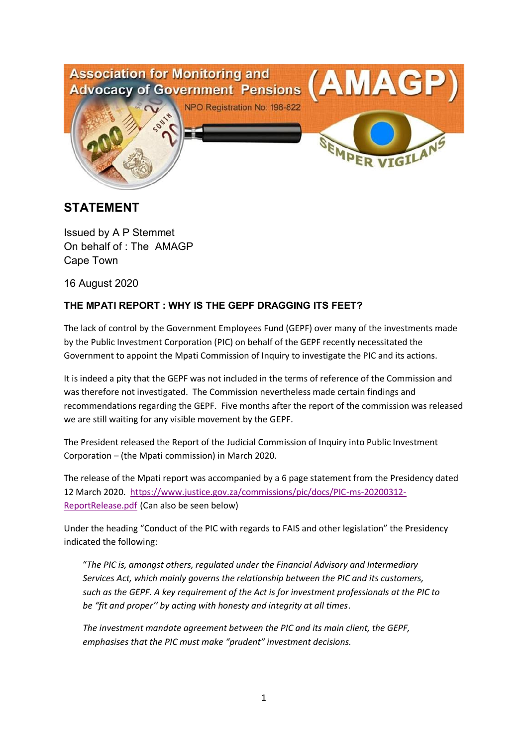

# **STATEMENT**

Issued by A P Stemmet On behalf of : The AMAGP Cape Town

16 August 2020

## **THE MPATI REPORT : WHY IS THE GEPF DRAGGING ITS FEET?**

The lack of control by the Government Employees Fund (GEPF) over many of the investments made by the Public Investment Corporation (PIC) on behalf of the GEPF recently necessitated the Government to appoint the Mpati Commission of Inquiry to investigate the PIC and its actions.

It is indeed a pity that the GEPF was not included in the terms of reference of the Commission and was therefore not investigated. The Commission nevertheless made certain findings and recommendations regarding the GEPF. Five months after the report of the commission was released we are still waiting for any visible movement by the GEPF.

The President released the Report of the Judicial Commission of Inquiry into Public Investment Corporation – (the Mpati commission) in March 2020.

The release of the Mpati report was accompanied by a 6 page statement from the Presidency dated 12 March 2020. https://www.justice.gov.za/commissions/pic/docs/PIC-ms-20200312- ReportRelease.pdf (Can also be seen below)

Under the heading "Conduct of the PIC with regards to FAIS and other legislation" the Presidency indicated the following:

"*The PIC is, amongst others, regulated under the Financial Advisory and Intermediary Services Act, which mainly governs the relationship between the PIC and its customers, such as the GEPF. A key requirement of the Act is for investment professionals at the PIC to be "fit and proper'' by acting with honesty and integrity at all times*.

*The investment mandate agreement between the PIC and its main client, the GEPF, emphasises that the PIC must make "prudent" investment decisions.*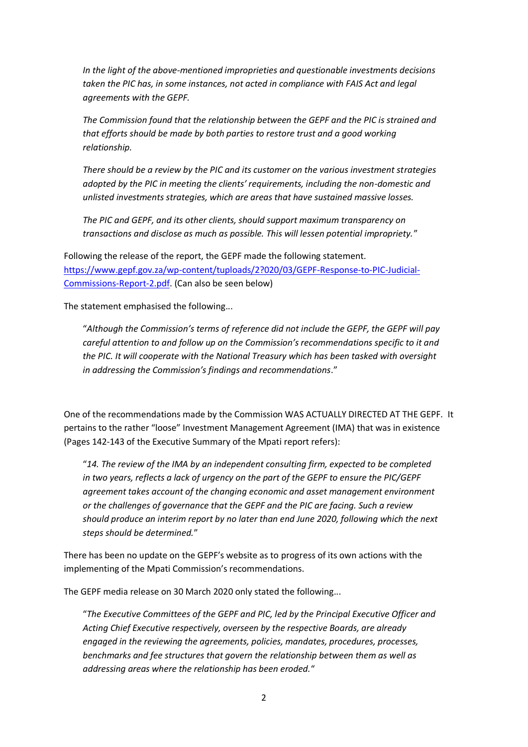*In the light of the above-mentioned improprieties and questionable investments decisions*  taken the PIC has, in some instances, not acted in compliance with FAIS Act and legal *agreements with the GEPF.*

*The Commission found that the relationship between the GEPF and the PIC is strained and that efforts should be made by both parties to restore trust and a good working relationship.*

*There should be a review by the PIC and its customer on the various investment strategies adopted by the PIC in meeting the clients' requirements, including the non-domestic and unlisted investments strategies, which are areas that have sustained massive losses.*

*The PIC and GEPF, and its other clients, should support maximum transparency on transactions and disclose as much as possible. This will lessen potential impropriety.*"

Following the release of the report, the GEPF made the following statement. https://www.gepf.gov.za/wp-content/tuploads/2?020/03/GEPF-Response-to-PIC-Judicial-Commissions-Report-2.pdf. (Can also be seen below)

The statement emphasised the following...

"*Although the Commission's terms of reference did not include the GEPF, the GEPF will pay careful attention to and follow up on the Commission's recommendations specific to it and the PIC. It will cooperate with the National Treasury which has been tasked with oversight in addressing the Commission's findings and recommendations*."

One of the recommendations made by the Commission WAS ACTUALLY DIRECTED AT THE GEPF. It pertains to the rather "loose" Investment Management Agreement (IMA) that was in existence (Pages 142-143 of the Executive Summary of the Mpati report refers):

"*14. The review of the IMA by an independent consulting firm, expected to be completed in two years, reflects a lack of urgency on the part of the GEPF to ensure the PIC/GEPF agreement takes account of the changing economic and asset management environment or the challenges of governance that the GEPF and the PIC are facing. Such a review should produce an interim report by no later than end June 2020, following which the next steps should be determined.*"

There has been no update on the GEPF's website as to progress of its own actions with the implementing of the Mpati Commission's recommendations.

The GEPF media release on 30 March 2020 only stated the following...

"*The Executive Committees of the GEPF and PIC, led by the Principal Executive Officer and Acting Chief Executive respectively, overseen by the respective Boards, are already engaged in the reviewing the agreements, policies, mandates, procedures, processes, benchmarks and fee structures that govern the relationship between them as well as addressing areas where the relationship has been eroded.*"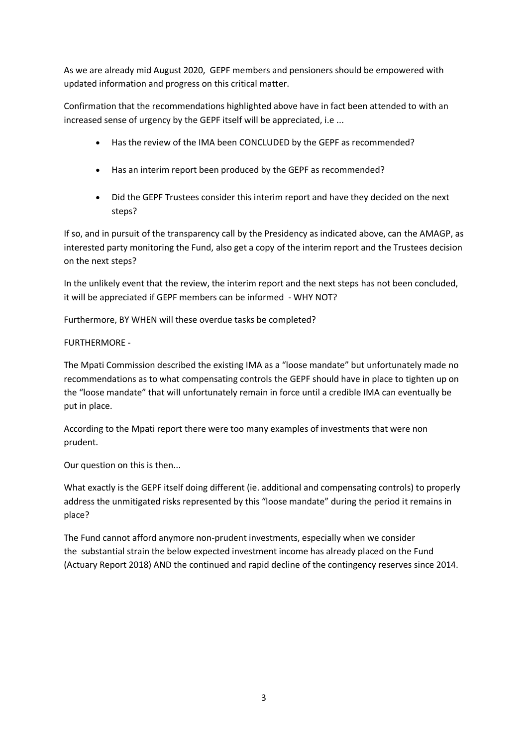As we are already mid August 2020, GEPF members and pensioners should be empowered with updated information and progress on this critical matter.

Confirmation that the recommendations highlighted above have in fact been attended to with an increased sense of urgency by the GEPF itself will be appreciated, i.e ...

- Has the review of the IMA been CONCLUDED by the GEPF as recommended?
- Has an interim report been produced by the GEPF as recommended?
- Did the GEPF Trustees consider this interim report and have they decided on the next steps?

If so, and in pursuit of the transparency call by the Presidency as indicated above, can the AMAGP, as interested party monitoring the Fund, also get a copy of the interim report and the Trustees decision on the next steps?

In the unlikely event that the review, the interim report and the next steps has not been concluded, it will be appreciated if GEPF members can be informed - WHY NOT?

Furthermore, BY WHEN will these overdue tasks be completed?

## FURTHERMORE -

The Mpati Commission described the existing IMA as a "loose mandate" but unfortunately made no recommendations as to what compensating controls the GEPF should have in place to tighten up on the "loose mandate" that will unfortunately remain in force until a credible IMA can eventually be put in place.

According to the Mpati report there were too many examples of investments that were non prudent.

Our question on this is then...

What exactly is the GEPF itself doing different (ie. additional and compensating controls) to properly address the unmitigated risks represented by this "loose mandate" during the period it remains in place?

The Fund cannot afford anymore non-prudent investments, especially when we consider the substantial strain the below expected investment income has already placed on the Fund (Actuary Report 2018) AND the continued and rapid decline of the contingency reserves since 2014.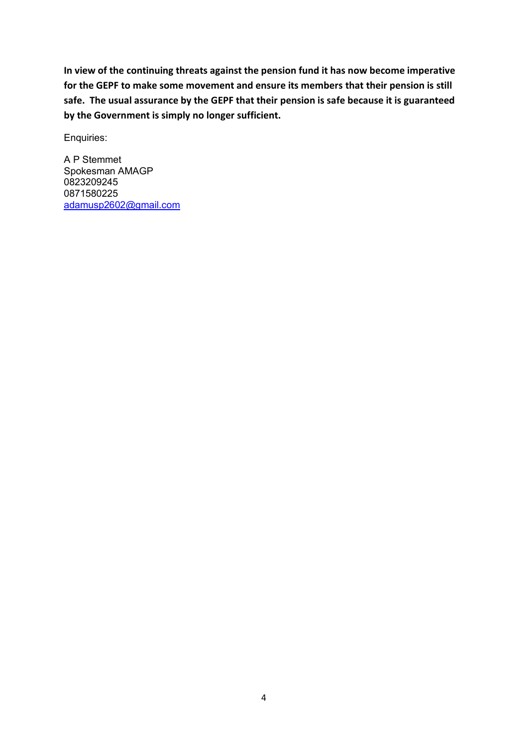**In view of the continuing threats against the pension fund it has now become imperative for the GEPF to make some movement and ensure its members that their pension is still safe. The usual assurance by the GEPF that their pension is safe because it is guaranteed by the Government is simply no longer sufficient.**

Enquiries:

A P Stemmet Spokesman AMAGP 0823209245 0871580225 adamusp2602@gmail.com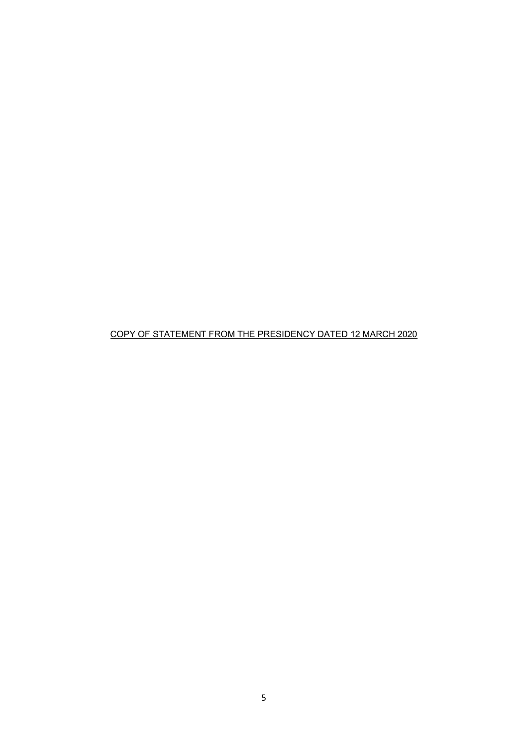## COPY OF STATEMENT FROM THE PRESIDENCY DATED 12 MARCH 2020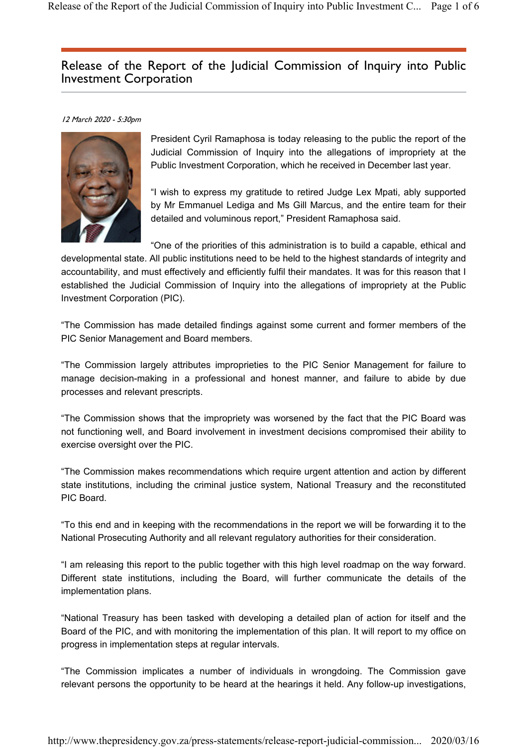# Release of the Report of the Judicial Commission of Inquiry into Public Investment Corporation

#### 12 March 2020 - 5:30pm



President Cyril Ramaphosa is today releasing to the public the report of the Judicial Commission of Inquiry into the allegations of impropriety at the Public Investment Corporation, which he received in December last year.

"I wish to express my gratitude to retired Judge Lex Mpati, ably supported by Mr Emmanuel Lediga and Ms Gill Marcus, and the entire team for their detailed and voluminous report," President Ramaphosa said.

"One of the priorities of this administration is to build a capable, ethical and developmental state. All public institutions need to be held to the highest standards of integrity and accountability, and must effectively and efficiently fulfil their mandates. It was for this reason that I established the Judicial Commission of Inquiry into the allegations of impropriety at the Public Investment Corporation (PIC).

"The Commission has made detailed findings against some current and former members of the PIC Senior Management and Board members.

"The Commission largely attributes improprieties to the PIC Senior Management for failure to manage decision-making in a professional and honest manner, and failure to abide by due processes and relevant prescripts.

"The Commission shows that the impropriety was worsened by the fact that the PIC Board was not functioning well, and Board involvement in investment decisions compromised their ability to exercise oversight over the PIC.

"The Commission makes recommendations which require urgent attention and action by different state institutions, including the criminal justice system, National Treasury and the reconstituted PIC Board.

"To this end and in keeping with the recommendations in the report we will be forwarding it to the National Prosecuting Authority and all relevant regulatory authorities for their consideration.

"I am releasing this report to the public together with this high level roadmap on the way forward. Different state institutions, including the Board, will further communicate the details of the implementation plans.

"National Treasury has been tasked with developing a detailed plan of action for itself and the Board of the PIC, and with monitoring the implementation of this plan. It will report to my office on progress in implementation steps at regular intervals.

"The Commission implicates a number of individuals in wrongdoing. The Commission gave relevant persons the opportunity to be heard at the hearings it held. Any follow-up investigations,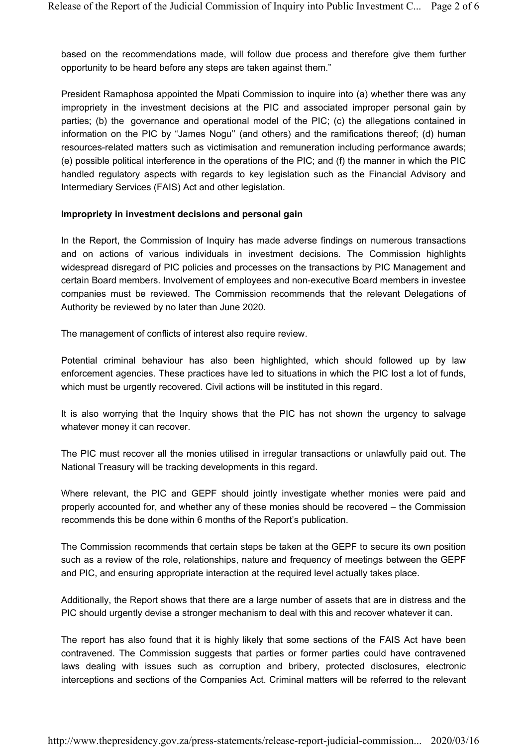based on the recommendations made, will follow due process and therefore give them further opportunity to be heard before any steps are taken against them."

President Ramaphosa appointed the Mpati Commission to inquire into (a) whether there was any impropriety in the investment decisions at the PIC and associated improper personal gain by parties; (b) the governance and operational model of the PIC; (c) the allegations contained in information on the PIC by "James Nogu'' (and others) and the ramifications thereof; (d) human resources-related matters such as victimisation and remuneration including performance awards; (e) possible political interference in the operations of the PIC; and (f) the manner in which the PIC handled regulatory aspects with regards to key legislation such as the Financial Advisory and Intermediary Services (FAIS) Act and other legislation.

#### **Impropriety in investment decisions and personal gain**

In the Report, the Commission of Inquiry has made adverse findings on numerous transactions and on actions of various individuals in investment decisions. The Commission highlights widespread disregard of PIC policies and processes on the transactions by PIC Management and certain Board members. Involvement of employees and non-executive Board members in investee companies must be reviewed. The Commission recommends that the relevant Delegations of Authority be reviewed by no later than June 2020.

The management of conflicts of interest also require review.

Potential criminal behaviour has also been highlighted, which should followed up by law enforcement agencies. These practices have led to situations in which the PIC lost a lot of funds, which must be urgently recovered. Civil actions will be instituted in this regard.

It is also worrying that the Inquiry shows that the PIC has not shown the urgency to salvage whatever money it can recover.

The PIC must recover all the monies utilised in irregular transactions or unlawfully paid out. The National Treasury will be tracking developments in this regard.

Where relevant, the PIC and GEPF should jointly investigate whether monies were paid and properly accounted for, and whether any of these monies should be recovered – the Commission recommends this be done within 6 months of the Report's publication.

The Commission recommends that certain steps be taken at the GEPF to secure its own position such as a review of the role, relationships, nature and frequency of meetings between the GEPF and PIC, and ensuring appropriate interaction at the required level actually takes place.

Additionally, the Report shows that there are a large number of assets that are in distress and the PIC should urgently devise a stronger mechanism to deal with this and recover whatever it can.

The report has also found that it is highly likely that some sections of the FAIS Act have been contravened. The Commission suggests that parties or former parties could have contravened laws dealing with issues such as corruption and bribery, protected disclosures, electronic interceptions and sections of the Companies Act. Criminal matters will be referred to the relevant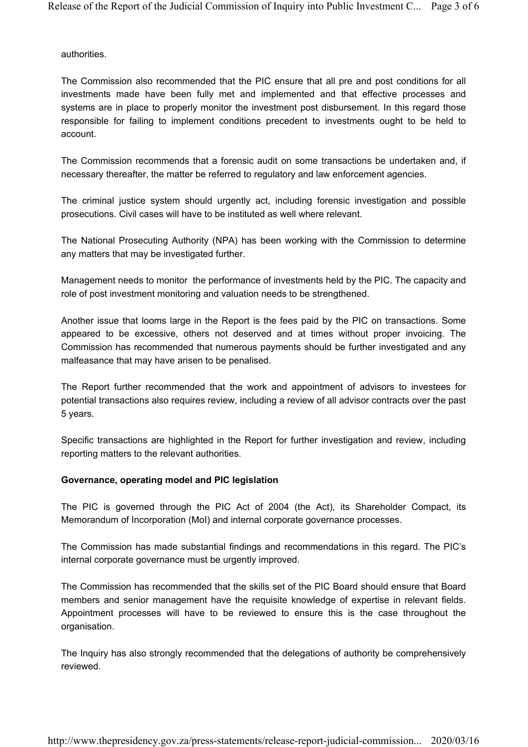authorities.

The Commission also recommended that the PIC ensure that all pre and post conditions for all investments made have been fully met and implemented and that effective processes and systems are in place to properly monitor the investment post disbursement. In this regard those responsible for failing to implement conditions precedent to investments ought to be held to account.

The Commission recommends that a forensic audit on some transactions be undertaken and, if necessary thereafter, the matter be referred to regulatory and law enforcement agencies.

The criminal justice system should urgently act, including forensic investigation and possible prosecutions. Civil cases will have to be instituted as well where relevant.

The National Prosecuting Authority (NPA) has been working with the Commission to determine any matters that may be investigated further.

Management needs to monitor the performance of investments held by the PIC. The capacity and role of post investment monitoring and valuation needs to be strengthened.

Another issue that looms large in the Report is the fees paid by the PIC on transactions. Some appeared to be excessive, others not deserved and at times without proper invoicing. The Commission has recommended that numerous payments should be further investigated and any malfeasance that may have arisen to be penalised.

The Report further recommended that the work and appointment of advisors to investees for potential transactions also requires review, including a review of all advisor contracts over the past 5 years.

Specific transactions are highlighted in the Report for further investigation and review, including reporting matters to the relevant authorities.

### **Governance, operating model and PIC legislation**

The PIC is governed through the PIC Act of 2004 (the Act), its Shareholder Compact, its Memorandum of Incorporation (MoI) and internal corporate governance processes.

The Commission has made substantial findings and recommendations in this regard. The PIC's internal corporate governance must be urgently improved.

The Commission has recommended that the skills set of the PIC Board should ensure that Board members and senior management have the requisite knowledge of expertise in relevant fields. Appointment processes will have to be reviewed to ensure this is the case throughout the organisation.

The Inquiry has also strongly recommended that the delegations of authority be comprehensively reviewed.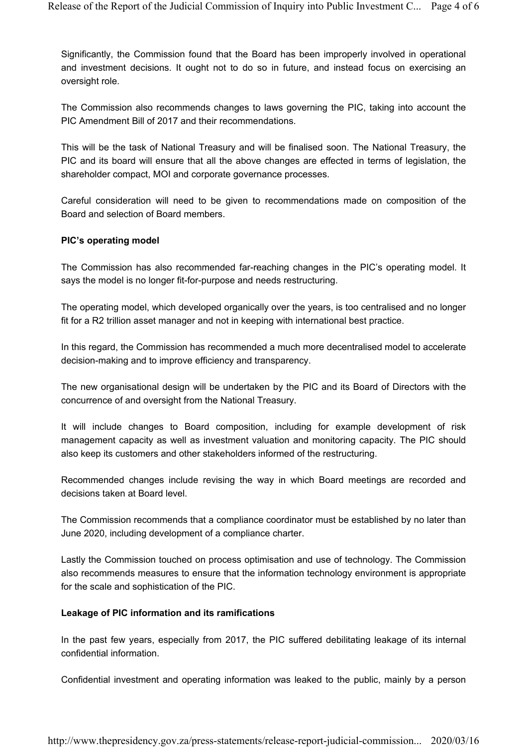Significantly, the Commission found that the Board has been improperly involved in operational and investment decisions. It ought not to do so in future, and instead focus on exercising an oversight role.

The Commission also recommends changes to laws governing the PIC, taking into account the PIC Amendment Bill of 2017 and their recommendations.

This will be the task of National Treasury and will be finalised soon. The National Treasury, the PIC and its board will ensure that all the above changes are effected in terms of legislation, the shareholder compact, MOI and corporate governance processes.

Careful consideration will need to be given to recommendations made on composition of the Board and selection of Board members.

#### **PIC's operating model**

The Commission has also recommended far-reaching changes in the PIC's operating model. It says the model is no longer fit-for-purpose and needs restructuring.

The operating model, which developed organically over the years, is too centralised and no longer fit for a R2 trillion asset manager and not in keeping with international best practice.

In this regard, the Commission has recommended a much more decentralised model to accelerate decision-making and to improve efficiency and transparency.

The new organisational design will be undertaken by the PIC and its Board of Directors with the concurrence of and oversight from the National Treasury.

It will include changes to Board composition, including for example development of risk management capacity as well as investment valuation and monitoring capacity. The PIC should also keep its customers and other stakeholders informed of the restructuring.

Recommended changes include revising the way in which Board meetings are recorded and decisions taken at Board level.

The Commission recommends that a compliance coordinator must be established by no later than June 2020, including development of a compliance charter.

Lastly the Commission touched on process optimisation and use of technology. The Commission also recommends measures to ensure that the information technology environment is appropriate for the scale and sophistication of the PIC.

#### **Leakage of PIC information and its ramifications**

In the past few years, especially from 2017, the PIC suffered debilitating leakage of its internal confidential information.

Confidential investment and operating information was leaked to the public, mainly by a person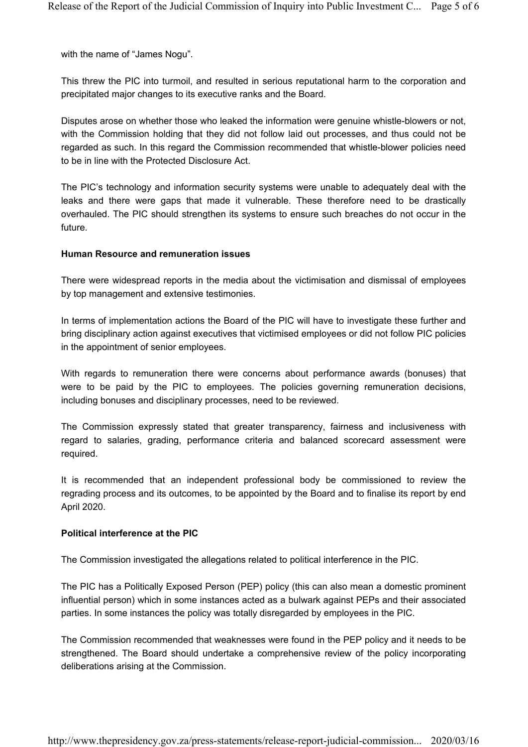with the name of "James Nogu".

This threw the PIC into turmoil, and resulted in serious reputational harm to the corporation and precipitated major changes to its executive ranks and the Board.

Disputes arose on whether those who leaked the information were genuine whistle-blowers or not, with the Commission holding that they did not follow laid out processes, and thus could not be regarded as such. In this regard the Commission recommended that whistle-blower policies need to be in line with the Protected Disclosure Act.

The PIC's technology and information security systems were unable to adequately deal with the leaks and there were gaps that made it vulnerable. These therefore need to be drastically overhauled. The PIC should strengthen its systems to ensure such breaches do not occur in the future.

#### **Human Resource and remuneration issues**

There were widespread reports in the media about the victimisation and dismissal of employees by top management and extensive testimonies.

In terms of implementation actions the Board of the PIC will have to investigate these further and bring disciplinary action against executives that victimised employees or did not follow PIC policies in the appointment of senior employees.

With regards to remuneration there were concerns about performance awards (bonuses) that were to be paid by the PIC to employees. The policies governing remuneration decisions, including bonuses and disciplinary processes, need to be reviewed.

The Commission expressly stated that greater transparency, fairness and inclusiveness with regard to salaries, grading, performance criteria and balanced scorecard assessment were required.

It is recommended that an independent professional body be commissioned to review the regrading process and its outcomes, to be appointed by the Board and to finalise its report by end April 2020.

#### **Political interference at the PIC**

The Commission investigated the allegations related to political interference in the PIC.

The PIC has a Politically Exposed Person (PEP) policy (this can also mean a domestic prominent influential person) which in some instances acted as a bulwark against PEPs and their associated parties. In some instances the policy was totally disregarded by employees in the PIC.

The Commission recommended that weaknesses were found in the PEP policy and it needs to be strengthened. The Board should undertake a comprehensive review of the policy incorporating deliberations arising at the Commission.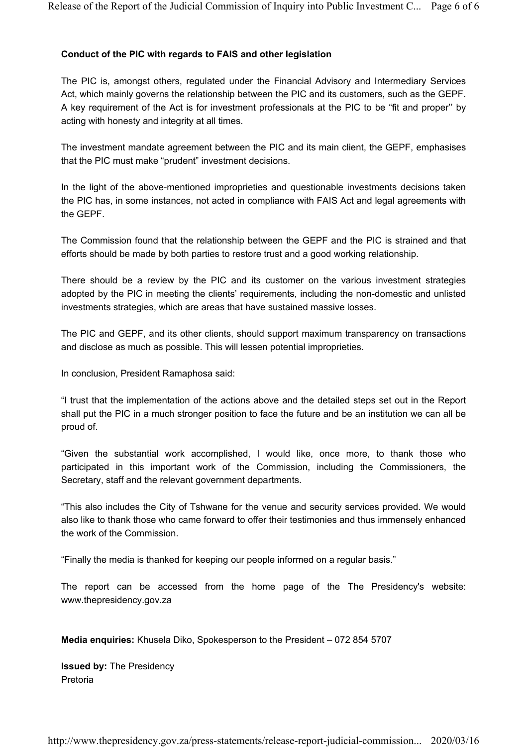### **Conduct of the PIC with regards to FAIS and other legislation**

The PIC is, amongst others, regulated under the Financial Advisory and Intermediary Services Act, which mainly governs the relationship between the PIC and its customers, such as the GEPF. A key requirement of the Act is for investment professionals at the PIC to be "fit and proper'' by acting with honesty and integrity at all times.

The investment mandate agreement between the PIC and its main client, the GEPF, emphasises that the PIC must make "prudent" investment decisions.

In the light of the above-mentioned improprieties and questionable investments decisions taken the PIC has, in some instances, not acted in compliance with FAIS Act and legal agreements with the GEPF.

The Commission found that the relationship between the GEPF and the PIC is strained and that efforts should be made by both parties to restore trust and a good working relationship.

There should be a review by the PIC and its customer on the various investment strategies adopted by the PIC in meeting the clients' requirements, including the non-domestic and unlisted investments strategies, which are areas that have sustained massive losses.

The PIC and GEPF, and its other clients, should support maximum transparency on transactions and disclose as much as possible. This will lessen potential improprieties.

In conclusion, President Ramaphosa said:

"I trust that the implementation of the actions above and the detailed steps set out in the Report shall put the PIC in a much stronger position to face the future and be an institution we can all be proud of.

"Given the substantial work accomplished, I would like, once more, to thank those who participated in this important work of the Commission, including the Commissioners, the Secretary, staff and the relevant government departments.

"This also includes the City of Tshwane for the venue and security services provided. We would also like to thank those who came forward to offer their testimonies and thus immensely enhanced the work of the Commission.

"Finally the media is thanked for keeping our people informed on a regular basis."

The report can be accessed from the home page of the The Presidency's website: www.thepresidency.gov.za

**Media enquiries:** Khusela Diko, Spokesperson to the President – 072 854 5707

**Issued by:** The Presidency Pretoria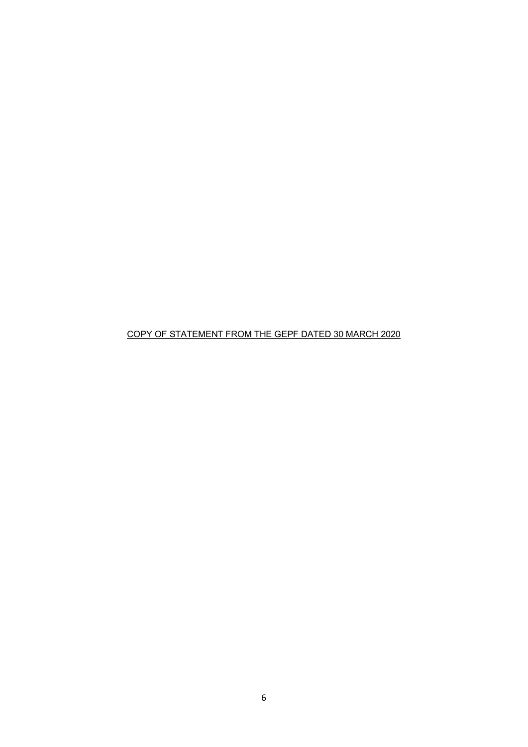COPY OF STATEMENT FROM THE GEPF DATED 30 MARCH 2020